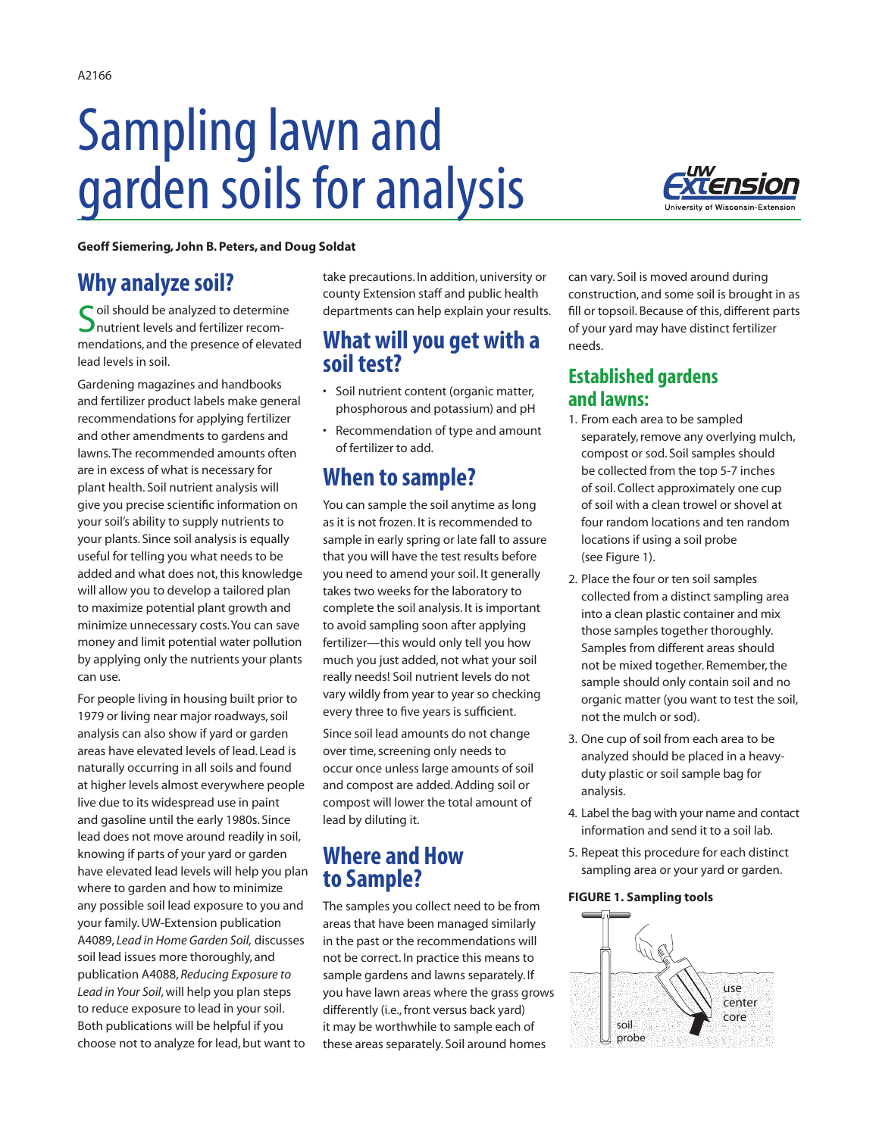# Sampling lawn and garden soils for analysis



**Geoff Siemering, John B. Peters, and Doug Soldat** 

# **Why analyze soil?**

Soil should be analyzed to determine<br>
Supported and fertilizer recommendations, and the presence of elevated lead levels in soil.

Gardening magazines and handbooks and fertilizer product labels make general recommendations for applying fertilizer and other amendments to gardens and lawns. The recommended amounts often are in excess of what is necessary for plant health. Soil nutrient analysis will give you precise scientific information on your soil's ability to supply nutrients to your plants. Since soil analysis is equally useful for telling you what needs to be added and what does not, this knowledge will allow you to develop a tailored plan to maximize potential plant growth and minimize unnecessary costs. You can save money and limit potential water pollution by applying only the nutrients your plants can use.

For people living in housing built prior to 1979 or living near major roadways, soil analysis can also show if yard or garden areas have elevated levels of lead. Lead is naturally occurring in all soils and found at higher levels almost everywhere people live due to its widespread use in paint and gasoline until the early 1980s. Since lead does not move around readily in soil, knowing if parts of your yard or garden have elevated lead levels will help you plan where to garden and how to minimize any possible soil lead exposure to you and your family. UW-Extension publication A4089, *Lead in Home Garden Soil,* discusses soil lead issues more thoroughly, and publication A4088, *Reducing Exposure to Lead in Your Soil*, will help you plan steps to reduce exposure to lead in your soil. Both publications will be helpful if you choose not to analyze for lead, but want to

take precautions. In addition, university or county Extension staff and public health departments can help explain your results.

## **What will you get with a soil test?**

- Soil nutrient content (organic matter, phosphorous and potassium) and pH
- Recommendation of type and amount of fertilizer to add.

# **When to sample?**

You can sample the soil anytime as long as it is not frozen. It is recommended to sample in early spring or late fall to assure that you will have the test results before you need to amend your soil. It generally takes two weeks for the laboratory to complete the soil analysis. It is important to avoid sampling soon after applying fertilizer—this would only tell you how much you just added, not what your soil really needs! Soil nutrient levels do not vary wildly from year to year so checking every three to five years is sufficient.

Since soil lead amounts do not change over time, screening only needs to occur once unless large amounts of soil and compost are added. Adding soil or compost will lower the total amount of lead by diluting it.

## **Where and How to Sample?**

The samples you collect need to be from areas that have been managed similarly in the past or the recommendations will not be correct. In practice this means to sample gardens and lawns separately. If you have lawn areas where the grass grows differently (i.e., front versus back yard) it may be worthwhile to sample each of these areas separately. Soil around homes

can vary. Soil is moved around during construction, and some soil is brought in as fill or topsoil. Because of this, different parts of your yard may have distinct fertilizer needs.

## **Established gardens and lawns:**

- 1. From each area to be sampled separately, remove any overlying mulch, compost or sod. Soil samples should be collected from the top 5-7 inches of soil. Collect approximately one cup of soil with a clean trowel or shovel at four random locations and ten random locations if using a soil probe (see Figure 1).
- 2. Place the four or ten soil samples collected from a distinct sampling area into a clean plastic container and mix those samples together thoroughly. Samples from different areas should not be mixed together. Remember, the sample should only contain soil and no organic matter (you want to test the soil, not the mulch or sod).
- 3. One cup of soil from each area to be analyzed should be placed in a heavyduty plastic or soil sample bag for analysis.
- 4. Label the bag with your name and contact information and send it to a soil lab.
- 5. Repeat this procedure for each distinct sampling area or your yard or garden.

#### **FIGURE 1. Sampling tools**